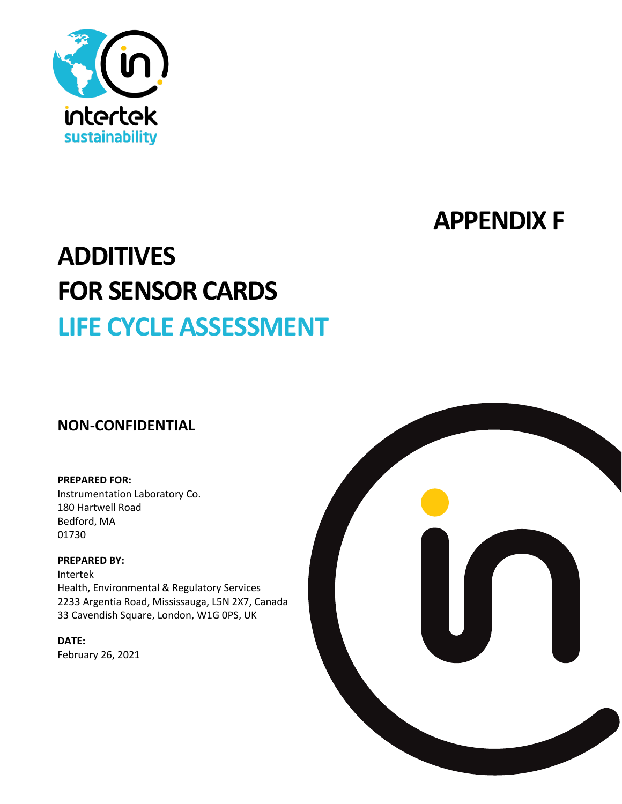

# **APPENDIX F**

# **ADDITIVES FOR SENSOR CARDS LIFE CYCLE ASSESSMENT**

# **NON-CONFIDENTIAL**

#### **PREPARED FOR:**

Instrumentation Laboratory Co. 180 Hartwell Road Bedford, MA 01730

#### **PREPARED BY:**

Intertek Health, Environmental & Regulatory Services 2233 Argentia Road, Mississauga, L5N 2X7, Canada 33 Cavendish Square, London, W1G 0PS, UK

**DATE:** February 26, 2021

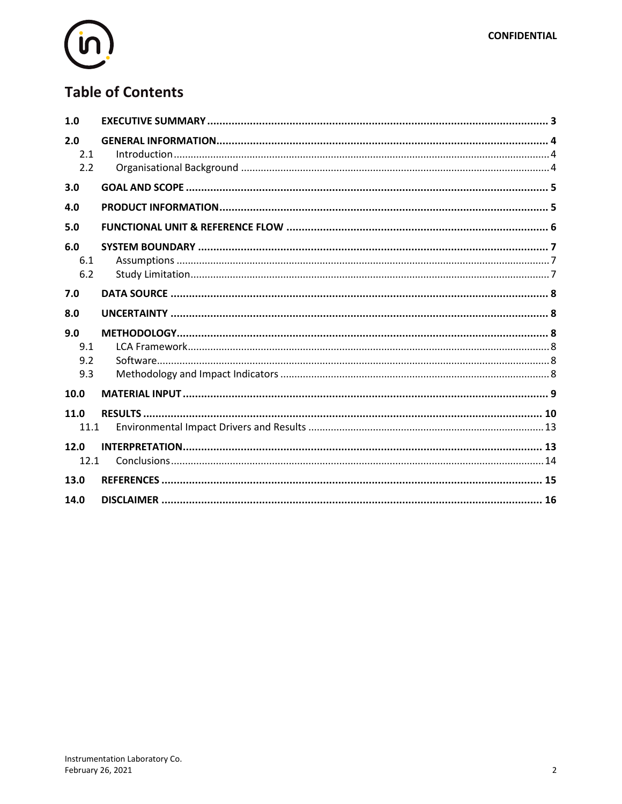

# **Table of Contents**

| 1.0                      |  |
|--------------------------|--|
| 2.0<br>2.1<br>2.2        |  |
| 3.0                      |  |
| 4.0                      |  |
| 5.0                      |  |
| 6.0<br>6.1<br>6.2        |  |
| 7.0                      |  |
| 8.0                      |  |
| 9.0<br>9.1<br>9.2<br>9.3 |  |
| 10.0                     |  |
| 11.0<br>11.1             |  |
| 12.0<br>12.1             |  |
| 13.0                     |  |
| 14.0                     |  |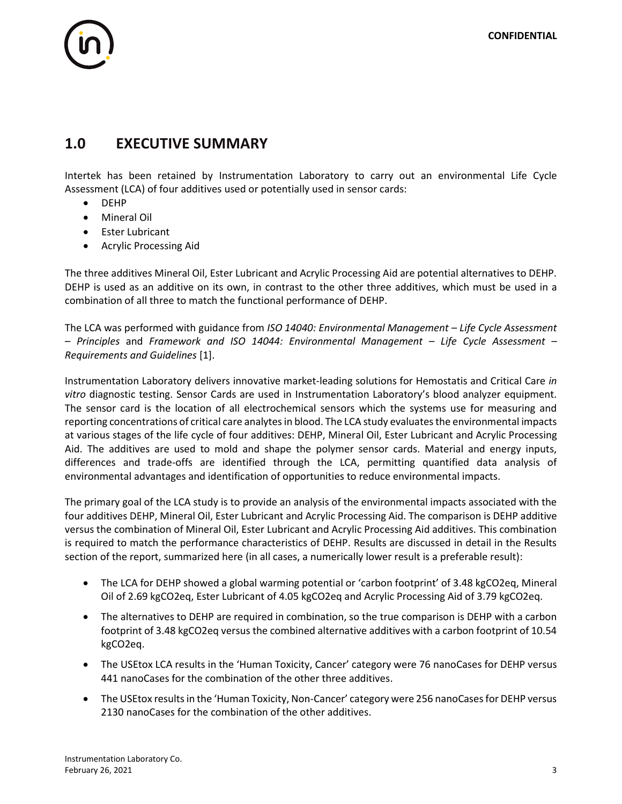# 

### **1.0 EXECUTIVE SUMMARY**

Intertek has been retained by Instrumentation Laboratory to carry out an environmental Life Cycle Assessment (LCA) of four additives used or potentially used in sensor cards:

- DEHP
- Mineral Oil
- Ester Lubricant
- Acrylic Processing Aid

The three additives Mineral Oil, Ester Lubricant and Acrylic Processing Aid are potential alternatives to DEHP. DEHP is used as an additive on its own, in contrast to the other three additives, which must be used in a combination of all three to match the functional performance of DEHP.

The LCA was performed with guidance from *ISO 14040: Environmental Management – Life Cycle Assessment – Principles* and *Framework and ISO 14044: Environmental Management – Life Cycle Assessment – Requirements and Guidelines* [1].

Instrumentation Laboratory delivers innovative market-leading solutions for Hemostatis and Critical Care *in vitro* diagnostic testing. Sensor Cards are used in Instrumentation Laboratory's blood analyzer equipment. The sensor card is the location of all electrochemical sensors which the systems use for measuring and reporting concentrations of critical care analytes in blood. The LCA study evaluates the environmental impacts at various stages of the life cycle of four additives: DEHP, Mineral Oil, Ester Lubricant and Acrylic Processing Aid. The additives are used to mold and shape the polymer sensor cards. Material and energy inputs, differences and trade-offs are identified through the LCA, permitting quantified data analysis of environmental advantages and identification of opportunities to reduce environmental impacts.

The primary goal of the LCA study is to provide an analysis of the environmental impacts associated with the four additives DEHP, Mineral Oil, Ester Lubricant and Acrylic Processing Aid. The comparison is DEHP additive versus the combination of Mineral Oil, Ester Lubricant and Acrylic Processing Aid additives. This combination is required to match the performance characteristics of DEHP. Results are discussed in detail in the Results section of the report, summarized here (in all cases, a numerically lower result is a preferable result):

- The LCA for DEHP showed a global warming potential or 'carbon footprint' of 3.48 kgCO2eq, Mineral Oil of 2.69 kgCO2eq, Ester Lubricant of 4.05 kgCO2eq and Acrylic Processing Aid of 3.79 kgCO2eq.
- The alternatives to DEHP are required in combination, so the true comparison is DEHP with a carbon footprint of 3.48 kgCO2eq versus the combined alternative additives with a carbon footprint of 10.54 kgCO2eq.
- The USEtox LCA results in the 'Human Toxicity, Cancer' category were 76 nanoCases for DEHP versus 441 nanoCases for the combination of the other three additives.
- The USEtox results in the 'Human Toxicity, Non-Cancer' category were 256 nanoCases for DEHP versus 2130 nanoCases for the combination of the other additives.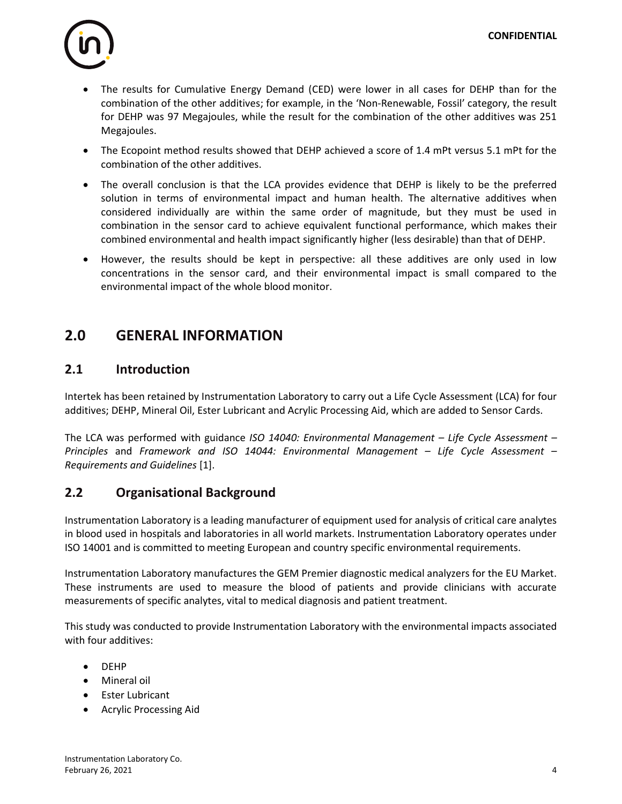

- The results for Cumulative Energy Demand (CED) were lower in all cases for DEHP than for the combination of the other additives; for example, in the 'Non-Renewable, Fossil' category, the result for DEHP was 97 Megajoules, while the result for the combination of the other additives was 251 Megajoules.
- The Ecopoint method results showed that DEHP achieved a score of 1.4 mPt versus 5.1 mPt for the combination of the other additives.
- The overall conclusion is that the LCA provides evidence that DEHP is likely to be the preferred solution in terms of environmental impact and human health. The alternative additives when considered individually are within the same order of magnitude, but they must be used in combination in the sensor card to achieve equivalent functional performance, which makes their combined environmental and health impact significantly higher (less desirable) than that of DEHP.
- However, the results should be kept in perspective: all these additives are only used in low concentrations in the sensor card, and their environmental impact is small compared to the environmental impact of the whole blood monitor.

# **2.0 GENERAL INFORMATION**

#### **2.1 Introduction**

Intertek has been retained by Instrumentation Laboratory to carry out a Life Cycle Assessment (LCA) for four additives; DEHP, Mineral Oil, Ester Lubricant and Acrylic Processing Aid, which are added to Sensor Cards.

The LCA was performed with guidance *ISO 14040: Environmental Management – Life Cycle Assessment – Principles* and *Framework and ISO 14044: Environmental Management – Life Cycle Assessment – Requirements and Guidelines* [1].

#### **2.2 Organisational Background**

Instrumentation Laboratory is a leading manufacturer of equipment used for analysis of critical care analytes in blood used in hospitals and laboratories in all world markets. Instrumentation Laboratory operates under ISO 14001 and is committed to meeting European and country specific environmental requirements.

Instrumentation Laboratory manufactures the GEM Premier diagnostic medical analyzers for the EU Market. These instruments are used to measure the blood of patients and provide clinicians with accurate measurements of specific analytes, vital to medical diagnosis and patient treatment.

This study was conducted to provide Instrumentation Laboratory with the environmental impacts associated with four additives:

- DEHP
- Mineral oil
- Ester Lubricant
- Acrylic Processing Aid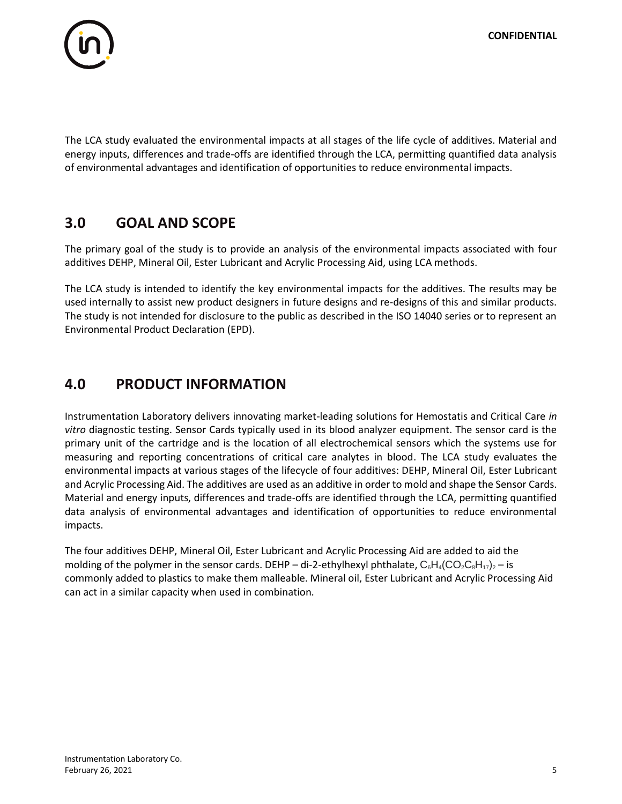

The LCA study evaluated the environmental impacts at all stages of the life cycle of additives. Material and energy inputs, differences and trade-offs are identified through the LCA, permitting quantified data analysis of environmental advantages and identification of opportunities to reduce environmental impacts.

# **3.0 GOAL AND SCOPE**

The primary goal of the study is to provide an analysis of the environmental impacts associated with four additives DEHP, Mineral Oil, Ester Lubricant and Acrylic Processing Aid, using LCA methods.

The LCA study is intended to identify the key environmental impacts for the additives. The results may be used internally to assist new product designers in future designs and re-designs of this and similar products. The study is not intended for disclosure to the public as described in the ISO 14040 series or to represent an Environmental Product Declaration (EPD).

# **4.0 PRODUCT INFORMATION**

Instrumentation Laboratory delivers innovating market-leading solutions for Hemostatis and Critical Care *in vitro* diagnostic testing. Sensor Cards typically used in its blood analyzer equipment. The sensor card is the primary unit of the cartridge and is the location of all electrochemical sensors which the systems use for measuring and reporting concentrations of critical care analytes in blood. The LCA study evaluates the environmental impacts at various stages of the lifecycle of four additives: DEHP, Mineral Oil, Ester Lubricant and Acrylic Processing Aid. The additives are used as an additive in order to mold and shape the Sensor Cards. Material and energy inputs, differences and trade-offs are identified through the LCA, permitting quantified data analysis of environmental advantages and identification of opportunities to reduce environmental impacts.

The four additives DEHP, Mineral Oil, Ester Lubricant and Acrylic Processing Aid are added to aid the molding of the polymer in the sensor cards. DEHP – di-2-ethylhexyl phthalate,  $C_6H_4(CO_2C_8H_{17})_2$  – is commonly added to plastics to make them malleable. Mineral oil, Ester Lubricant and Acrylic Processing Aid can act in a similar capacity when used in combination.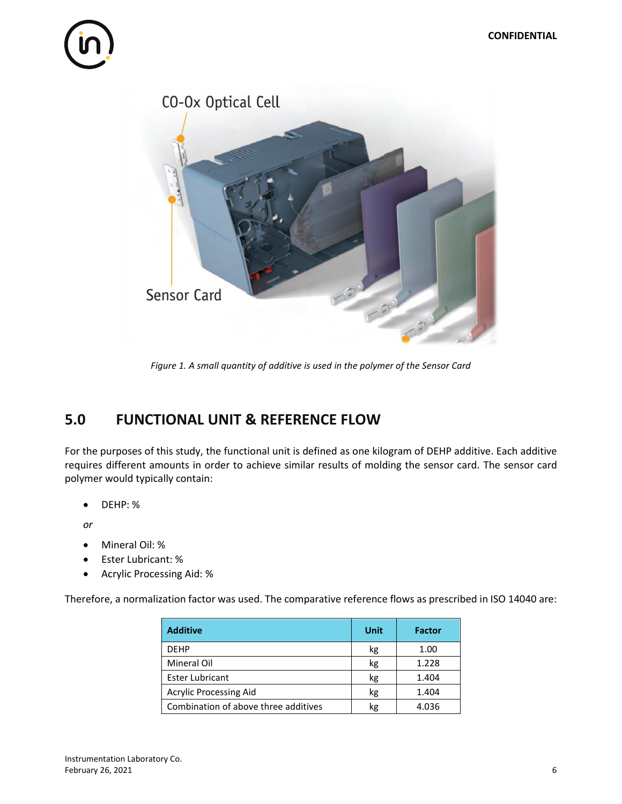# 



*Figure 1. A small quantity of additive is used in the polymer of the Sensor Card*

# **5.0 FUNCTIONAL UNIT & REFERENCE FLOW**

For the purposes of this study, the functional unit is defined as one kilogram of DEHP additive. Each additive requires different amounts in order to achieve similar results of molding the sensor card. The sensor card polymer would typically contain:

• DEHP: %

*or*

- Mineral Oil: %
- Ester Lubricant: %
- Acrylic Processing Aid: %

Therefore, a normalization factor was used. The comparative reference flows as prescribed in ISO 14040 are:

| <b>Additive</b>                      | Unit | <b>Factor</b> |
|--------------------------------------|------|---------------|
| <b>DFHP</b>                          | kg   | 1.00          |
| <b>Mineral Oil</b>                   | kg   | 1.228         |
| <b>Ester Lubricant</b>               | kg   | 1.404         |
| <b>Acrylic Processing Aid</b>        | kg   | 1.404         |
| Combination of above three additives | kg   | 4.036         |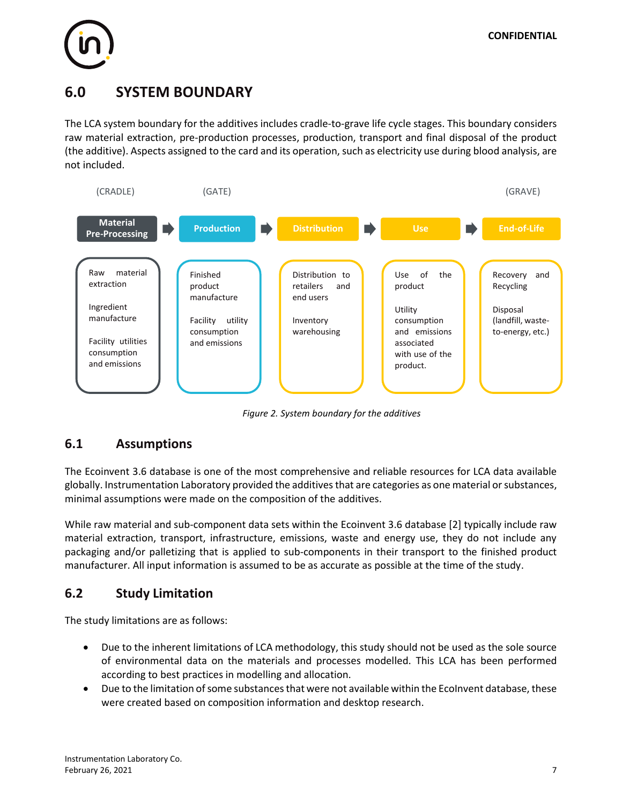

# **6.0 SYSTEM BOUNDARY**

The LCA system boundary for the additives includes cradle-to-grave life cycle stages. This boundary considers raw material extraction, pre-production processes, production, transport and final disposal of the product (the additive). Aspects assigned to the card and its operation, such as electricity use during blood analysis, are not included.



*Figure 2. System boundary for the additives* 

#### **6.1 Assumptions**

The Ecoinvent 3.6 database is one of the most comprehensive and reliable resources for LCA data available globally. Instrumentation Laboratory provided the additives that are categories as one material or substances, minimal assumptions were made on the composition of the additives.

While raw material and sub-component data sets within the Ecoinvent 3.6 database [2] typically include raw material extraction, transport, infrastructure, emissions, waste and energy use, they do not include any packaging and/or palletizing that is applied to sub-components in their transport to the finished product manufacturer. All input information is assumed to be as accurate as possible at the time of the study.

### **6.2 Study Limitation**

The study limitations are as follows:

- Due to the inherent limitations of LCA methodology, this study should not be used as the sole source of environmental data on the materials and processes modelled. This LCA has been performed according to best practices in modelling and allocation.
- Due to the limitation of some substances that were not available within the EcoInvent database, these were created based on composition information and desktop research.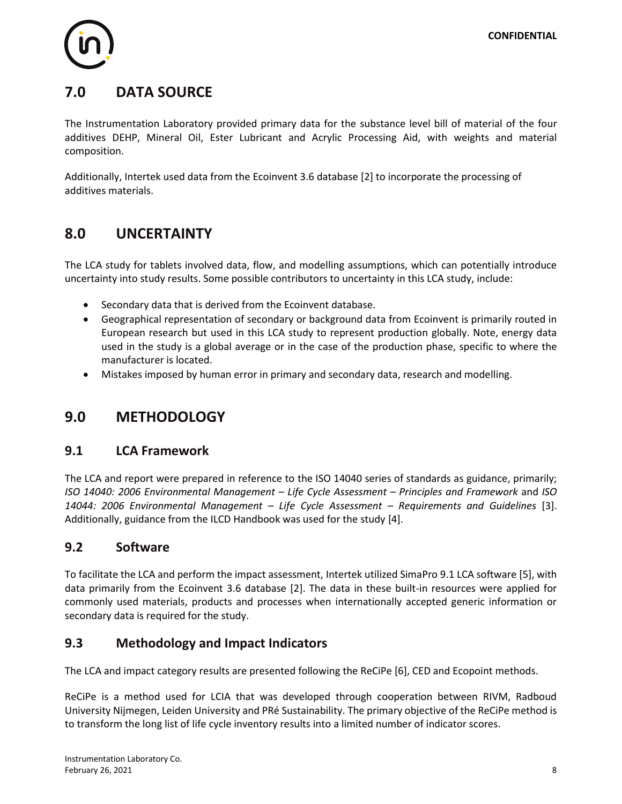

# **7.0 DATA SOURCE**

The Instrumentation Laboratory provided primary data for the substance level bill of material of the four additives DEHP, Mineral Oil, Ester Lubricant and Acrylic Processing Aid, with weights and material composition.

Additionally, Intertek used data from the Ecoinvent 3.6 database [2] to incorporate the processing of additives materials.

# **8.0 UNCERTAINTY**

The LCA study for tablets involved data, flow, and modelling assumptions, which can potentially introduce uncertainty into study results. Some possible contributors to uncertainty in this LCA study, include:

- Secondary data that is derived from the Ecoinvent database.
- Geographical representation of secondary or background data from Ecoinvent is primarily routed in European research but used in this LCA study to represent production globally. Note, energy data used in the study is a global average or in the case of the production phase, specific to where the manufacturer is located.
- Mistakes imposed by human error in primary and secondary data, research and modelling.

# **9.0 METHODOLOGY**

#### **9.1 LCA Framework**

The LCA and report were prepared in reference to the ISO 14040 series of standards as guidance, primarily; *ISO 14040: 2006 Environmental Management – Life Cycle Assessment – Principles and Framework* and *ISO 14044: 2006 Environmental Management – Life Cycle Assessment – Requirements and Guidelines* [3]. Additionally, guidance from the ILCD Handbook was used for the study [4].

#### **9.2 Software**

To facilitate the LCA and perform the impact assessment, Intertek utilized SimaPro 9.1 LCA software [5], with data primarily from the Ecoinvent 3.6 database [2]. The data in these built-in resources were applied for commonly used materials, products and processes when internationally accepted generic information or secondary data is required for the study.

#### **9.3 Methodology and Impact Indicators**

The LCA and impact category results are presented following the ReCiPe [6], CED and Ecopoint methods.

ReCiPe is a method used for LCIA that was developed through cooperation between RIVM, Radboud University Nijmegen, Leiden University and PRé Sustainability. The primary objective of the ReCiPe method is to transform the long list of life cycle inventory results into a limited number of indicator scores.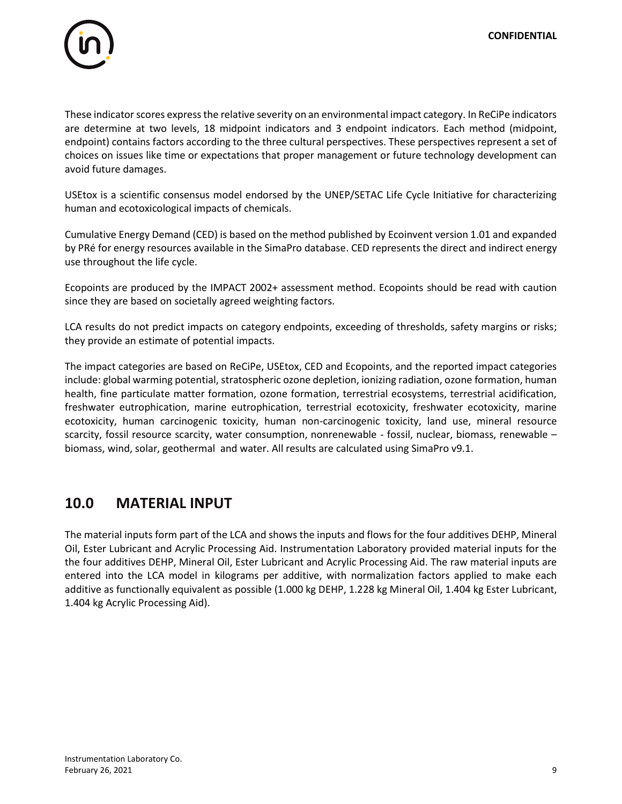

These indicator scores express the relative severity on an environmental impact category. In ReCiPe indicators are determine at two levels, 18 midpoint indicators and 3 endpoint indicators. Each method (midpoint, endpoint) contains factors according to the three cultural perspectives. These perspectives represent a set of choices on issues like time or expectations that proper management or future technology development can avoid future damages.

USEtox is a scientific consensus model endorsed by the UNEP/SETAC Life Cycle Initiative for characterizing human and ecotoxicological impacts of chemicals.

Cumulative Energy Demand (CED) is based on the method published by Ecoinvent version 1.01 and expanded by PRé for energy resources available in the SimaPro database. CED represents the direct and indirect energy use throughout the life cycle.

Ecopoints are produced by the IMPACT 2002+ assessment method. Ecopoints should be read with caution since they are based on societally agreed weighting factors.

LCA results do not predict impacts on category endpoints, exceeding of thresholds, safety margins or risks; they provide an estimate of potential impacts.

The impact categories are based on ReCiPe, USEtox, CED and Ecopoints, and the reported impact categories include: global warming potential, stratospheric ozone depletion, ionizing radiation, ozone formation, human health, fine particulate matter formation, ozone formation, terrestrial ecosystems, terrestrial acidification, freshwater eutrophication, marine eutrophication, terrestrial ecotoxicity, freshwater ecotoxicity, marine ecotoxicity, human carcinogenic toxicity, human non-carcinogenic toxicity, land use, mineral resource scarcity, fossil resource scarcity, water consumption, nonrenewable - fossil, nuclear, biomass, renewable – biomass, wind, solar, geothermal and water. All results are calculated using SimaPro v9.1.

### **10.0 MATERIAL INPUT**

The material inputs form part of the LCA and shows the inputs and flows for the four additives DEHP, Mineral Oil, Ester Lubricant and Acrylic Processing Aid. Instrumentation Laboratory provided material inputs for the the four additives DEHP, Mineral Oil, Ester Lubricant and Acrylic Processing Aid. The raw material inputs are entered into the LCA model in kilograms per additive, with normalization factors applied to make each additive as functionally equivalent as possible (1.000 kg DEHP, 1.228 kg Mineral Oil, 1.404 kg Ester Lubricant, 1.404 kg Acrylic Processing Aid).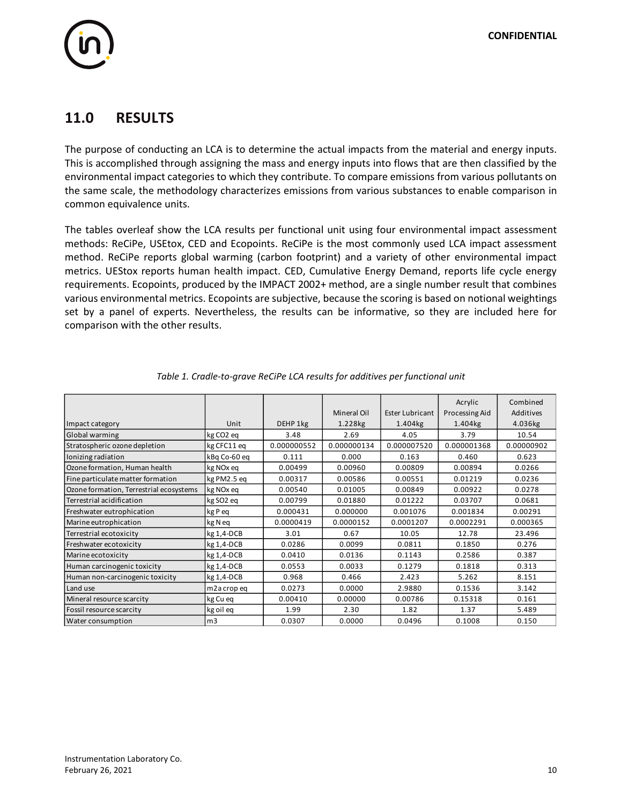# 

# **11.0 RESULTS**

The purpose of conducting an LCA is to determine the actual impacts from the material and energy inputs. This is accomplished through assigning the mass and energy inputs into flows that are then classified by the environmental impact categories to which they contribute. To compare emissions from various pollutants on the same scale, the methodology characterizes emissions from various substances to enable comparison in common equivalence units.

The tables overleaf show the LCA results per functional unit using four environmental impact assessment methods: ReCiPe, USEtox, CED and Ecopoints. ReCiPe is the most commonly used LCA impact assessment method. ReCiPe reports global warming (carbon footprint) and a variety of other environmental impact metrics. UEStox reports human health impact. CED, Cumulative Energy Demand, reports life cycle energy requirements. Ecopoints, produced by the IMPACT 2002+ method, are a single number result that combines various environmental metrics. Ecopoints are subjective, because the scoring is based on notional weightings set by a panel of experts. Nevertheless, the results can be informative, so they are included here for comparison with the other results.

|                                         |                       |             |             |                        | Acrylic        | Combined   |
|-----------------------------------------|-----------------------|-------------|-------------|------------------------|----------------|------------|
|                                         |                       |             | Mineral Oil | <b>Ester Lubricant</b> | Processing Aid | Additives  |
| Impact category                         | Unit                  | DEHP 1kg    | 1.228kg     | 1.404kg                | 1.404kg        | 4.036kg    |
| Global warming                          | kg CO <sub>2</sub> eq | 3.48        | 2.69        | 4.05                   | 3.79           | 10.54      |
| Stratospheric ozone depletion           | kg CFC11 eq           | 0.000000552 | 0.000000134 | 0.000007520            | 0.000001368    | 0.00000902 |
| Ionizing radiation                      | kBg Co-60 eg          | 0.111       | 0.000       | 0.163                  | 0.460          | 0.623      |
| Ozone formation, Human health           | kg NO <sub>x</sub> eq | 0.00499     | 0.00960     | 0.00809                | 0.00894        | 0.0266     |
| Fine particulate matter formation       | kg PM2.5 eq           | 0.00317     | 0.00586     | 0.00551                | 0.01219        | 0.0236     |
| Ozone formation, Terrestrial ecosystems | kg NO <sub>x</sub> eq | 0.00540     | 0.01005     | 0.00849                | 0.00922        | 0.0278     |
| Terrestrial acidification               | kg SO <sub>2</sub> eq | 0.00799     | 0.01880     | 0.01222                | 0.03707        | 0.0681     |
| Freshwater eutrophication               | kg P eq               | 0.000431    | 0.000000    | 0.001076               | 0.001834       | 0.00291    |
| Marine eutrophication                   | kg N eq               | 0.0000419   | 0.0000152   | 0.0001207              | 0.0002291      | 0.000365   |
| Terrestrial ecotoxicity                 | kg 1,4-DCB            | 3.01        | 0.67        | 10.05                  | 12.78          | 23.496     |
| Freshwater ecotoxicity                  | $kg1,4-DCB$           | 0.0286      | 0.0099      | 0.0811                 | 0.1850         | 0.276      |
| Marine ecotoxicity                      | $kg1, 4-DCB$          | 0.0410      | 0.0136      | 0.1143                 | 0.2586         | 0.387      |
| Human carcinogenic toxicity             | $kg1, 4-DCB$          | 0.0553      | 0.0033      | 0.1279                 | 0.1818         | 0.313      |
| Human non-carcinogenic toxicity         | kg 1,4-DCB            | 0.968       | 0.466       | 2.423                  | 5.262          | 8.151      |
| Land use                                | m2a crop eq           | 0.0273      | 0.0000      | 2.9880                 | 0.1536         | 3.142      |
| Mineral resource scarcity               | kg Cu eg              | 0.00410     | 0.00000     | 0.00786                | 0.15318        | 0.161      |
| Fossil resource scarcity                | kg oil eq             | 1.99        | 2.30        | 1.82                   | 1.37           | 5.489      |
| Water consumption                       | m <sub>3</sub>        | 0.0307      | 0.0000      | 0.0496                 | 0.1008         | 0.150      |

| Table 1. Cradle-to-grave ReCiPe LCA results for additives per functional unit |  |  |  |
|-------------------------------------------------------------------------------|--|--|--|
|                                                                               |  |  |  |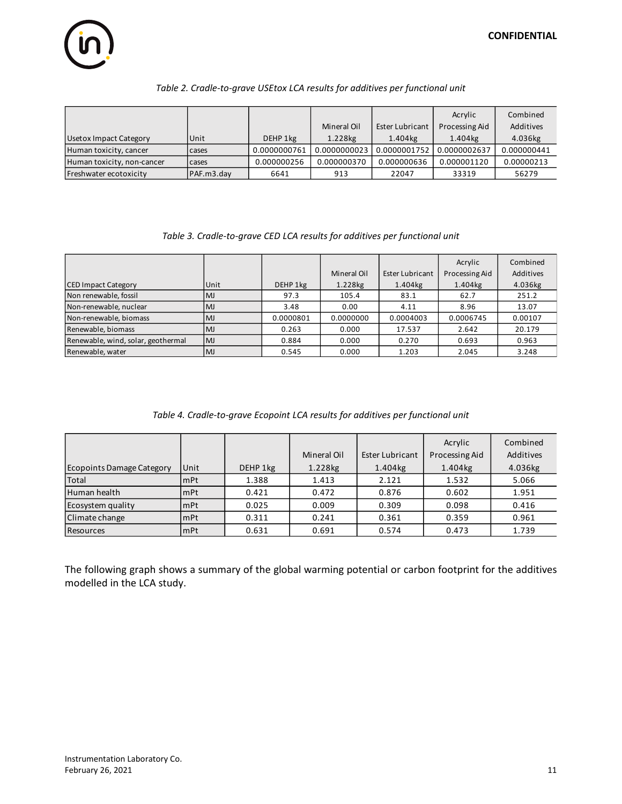#### *Table 2. Cradle-to-grave USEtox LCA results for additives per functional unit*

|                            |            |              |              |                 | Acrylic        | Combined    |
|----------------------------|------------|--------------|--------------|-----------------|----------------|-------------|
|                            |            |              | Mineral Oil  | Ester Lubricant | Processing Aid | Additives   |
| Usetox Impact Category     | Unit       | DEHP 1kg     | 1.228kg      | 1.404kg         | 1.404kg        | 4.036kg     |
| Human toxicity, cancer     | cases      | 0.0000000761 | 0.0000000023 | 0.0000001752    | 0.0000002637   | 0.000000441 |
| Human toxicity, non-cancer | cases      | 0.000000256  | 0.000000370  | 0.000000636     | 0.000001120    | 0.00000213  |
| Freshwater ecotoxicity     | PAF.m3.day | 6641         | 913          | 22047           | 33319          | 56279       |

#### *Table 3. Cradle-to-grave CED LCA results for additives per functional unit*

|                                    |           |           |             |                 | Acrylic               | Combined  |
|------------------------------------|-----------|-----------|-------------|-----------------|-----------------------|-----------|
|                                    |           |           | Mineral Oil | Ester Lubricant | Processing Aid        | Additives |
| <b>CED Impact Category</b>         | Unit      | DEHP 1kg  | 1.228kg     | 1.404kg         | $1.404$ <sub>kg</sub> | 4.036kg   |
| Non renewable, fossil              | <b>MJ</b> | 97.3      | 105.4       | 83.1            | 62.7                  | 251.2     |
| Non-renewable, nuclear             | <b>MJ</b> | 3.48      | 0.00        | 4.11            | 8.96                  | 13.07     |
| Non-renewable, biomass             | <b>MJ</b> | 0.0000801 | 0.0000000   | 0.0004003       | 0.0006745             | 0.00107   |
| Renewable, biomass                 | <b>MJ</b> | 0.263     | 0.000       | 17.537          | 2.642                 | 20.179    |
| Renewable, wind, solar, geothermal | <b>MJ</b> | 0.884     | 0.000       | 0.270           | 0.693                 | 0.963     |
| Renewable, water                   | <b>MJ</b> | 0.545     | 0.000       | 1.203           | 2.045                 | 3.248     |

#### *Table 4. Cradle-to-grave Ecopoint LCA results for additives per functional unit*

|                                  |      |          |             |                 | Acrylic        | Combined  |
|----------------------------------|------|----------|-------------|-----------------|----------------|-----------|
|                                  |      |          | Mineral Oil | Ester Lubricant | Processing Aid | Additives |
| <b>Ecopoints Damage Category</b> | Unit | DEHP 1kg | 1.228kg     | 1.404kg         | 1.404kg        | 4.036kg   |
| <b>Total</b>                     | mPt  | 1.388    | 1.413       | 2.121           | 1.532          | 5.066     |
| Human health                     | mPt  | 0.421    | 0.472       | 0.876           | 0.602          | 1.951     |
| Ecosystem quality                | mPt  | 0.025    | 0.009       | 0.309           | 0.098          | 0.416     |
| Climate change                   | mPt  | 0.311    | 0.241       | 0.361           | 0.359          | 0.961     |
| <b>Resources</b>                 | mPt  | 0.631    | 0.691       | 0.574           | 0.473          | 1.739     |

The following graph shows a summary of the global warming potential or carbon footprint for the additives modelled in the LCA study.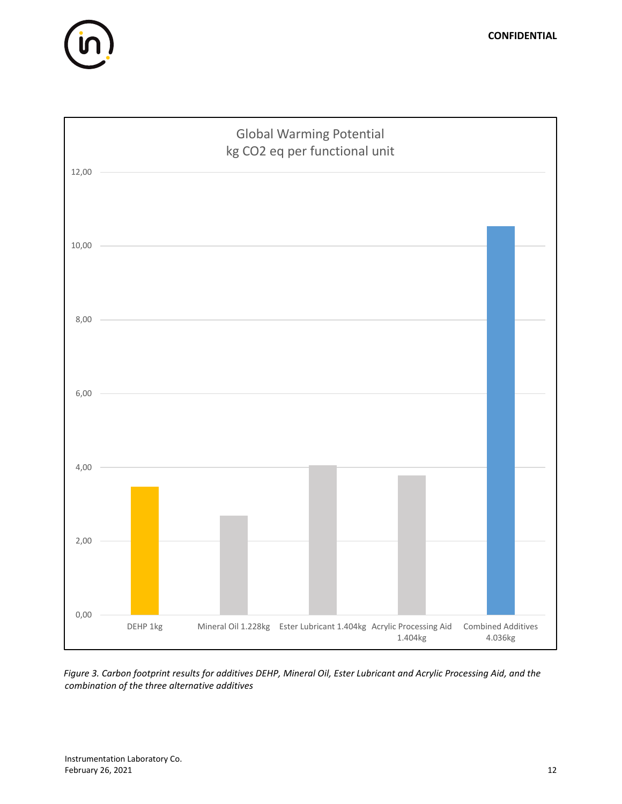



*Figure 3. Carbon footprint results for additives DEHP, Mineral Oil, Ester Lubricant and Acrylic Processing Aid, and the combination of the three alternative additives*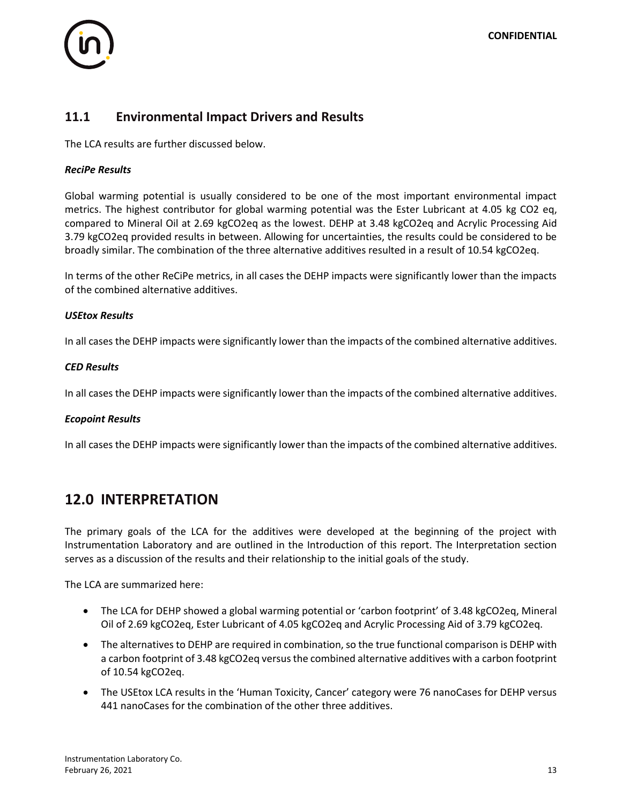

#### **11.1 Environmental Impact Drivers and Results**

The LCA results are further discussed below.

#### *ReciPe Results*

Global warming potential is usually considered to be one of the most important environmental impact metrics. The highest contributor for global warming potential was the Ester Lubricant at 4.05 kg CO2 eq, compared to Mineral Oil at 2.69 kgCO2eq as the lowest. DEHP at 3.48 kgCO2eq and Acrylic Processing Aid 3.79 kgCO2eq provided results in between. Allowing for uncertainties, the results could be considered to be broadly similar. The combination of the three alternative additives resulted in a result of 10.54 kgCO2eq.

In terms of the other ReCiPe metrics, in all cases the DEHP impacts were significantly lower than the impacts of the combined alternative additives.

#### *USEtox Results*

In all cases the DEHP impacts were significantly lower than the impacts of the combined alternative additives.

#### *CED Results*

In all cases the DEHP impacts were significantly lower than the impacts of the combined alternative additives.

#### *Ecopoint Results*

In all cases the DEHP impacts were significantly lower than the impacts of the combined alternative additives.

#### **12.0 INTERPRETATION**

The primary goals of the LCA for the additives were developed at the beginning of the project with Instrumentation Laboratory and are outlined in the Introduction of this report. The Interpretation section serves as a discussion of the results and their relationship to the initial goals of the study.

The LCA are summarized here:

- The LCA for DEHP showed a global warming potential or 'carbon footprint' of 3.48 kgCO2eq, Mineral Oil of 2.69 kgCO2eq, Ester Lubricant of 4.05 kgCO2eq and Acrylic Processing Aid of 3.79 kgCO2eq.
- The alternatives to DEHP are required in combination, so the true functional comparison is DEHP with a carbon footprint of 3.48 kgCO2eq versus the combined alternative additives with a carbon footprint of 10.54 kgCO2eq.
- The USEtox LCA results in the 'Human Toxicity, Cancer' category were 76 nanoCases for DEHP versus 441 nanoCases for the combination of the other three additives.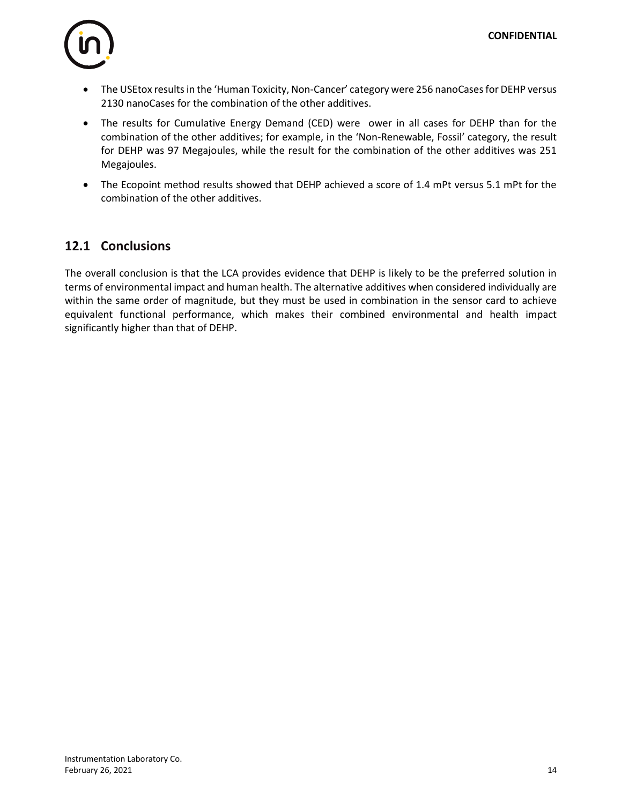

- The USEtox results in the 'Human Toxicity, Non-Cancer' category were 256 nanoCases for DEHP versus 2130 nanoCases for the combination of the other additives.
- The results for Cumulative Energy Demand (CED) were ower in all cases for DEHP than for the combination of the other additives; for example, in the 'Non-Renewable, Fossil' category, the result for DEHP was 97 Megajoules, while the result for the combination of the other additives was 251 Megajoules.
- The Ecopoint method results showed that DEHP achieved a score of 1.4 mPt versus 5.1 mPt for the combination of the other additives.

#### **12.1 Conclusions**

The overall conclusion is that the LCA provides evidence that DEHP is likely to be the preferred solution in terms of environmental impact and human health. The alternative additives when considered individually are within the same order of magnitude, but they must be used in combination in the sensor card to achieve equivalent functional performance, which makes their combined environmental and health impact significantly higher than that of DEHP.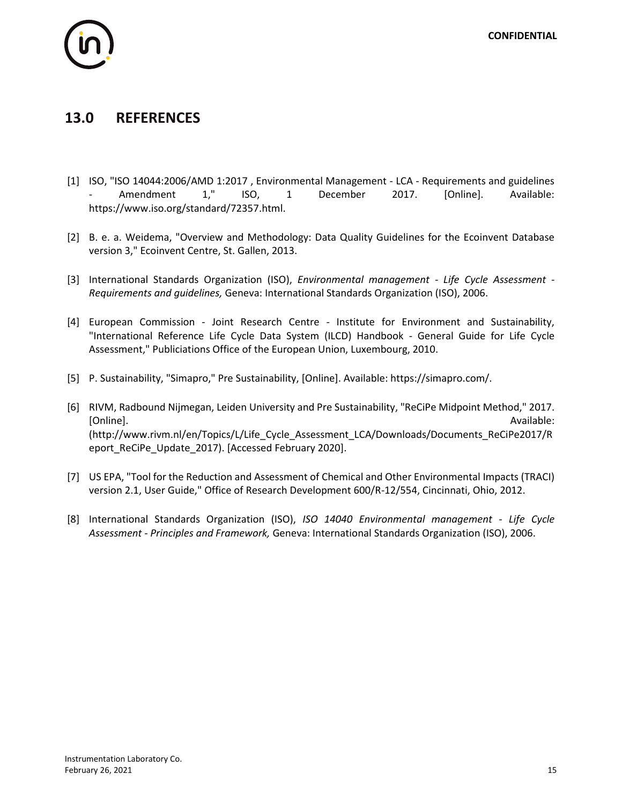

# **13.0 REFERENCES**

- [1] ISO, "ISO 14044:2006/AMD 1:2017 , Environmental Management LCA Requirements and guidelines - Amendment 1," ISO, 1 December 2017. [Online]. Available: https://www.iso.org/standard/72357.html.
- [2] B. e. a. Weidema, "Overview and Methodology: Data Quality Guidelines for the Ecoinvent Database version 3," Ecoinvent Centre, St. Gallen, 2013.
- [3] International Standards Organization (ISO), *Environmental management - Life Cycle Assessment - Requirements and guidelines,* Geneva: International Standards Organization (ISO), 2006.
- [4] European Commission Joint Research Centre Institute for Environment and Sustainability, "International Reference Life Cycle Data System (ILCD) Handbook - General Guide for Life Cycle Assessment," Publiciations Office of the European Union, Luxembourg, 2010.
- [5] P. Sustainability, "Simapro," Pre Sustainability, [Online]. Available: https://simapro.com/.
- [6] RIVM, Radbound Nijmegan, Leiden University and Pre Sustainability, "ReCiPe Midpoint Method," 2017. [Online]. Available: (http://www.rivm.nl/en/Topics/L/Life\_Cycle\_Assessment\_LCA/Downloads/Documents\_ReCiPe2017/R eport\_ReCiPe\_Update\_2017). [Accessed February 2020].
- [7] US EPA, "Tool for the Reduction and Assessment of Chemical and Other Environmental Impacts (TRACI) version 2.1, User Guide," Office of Research Development 600/R-12/554, Cincinnati, Ohio, 2012.
- [8] International Standards Organization (ISO), *ISO 14040 Environmental management - Life Cycle Assessment - Principles and Framework,* Geneva: International Standards Organization (ISO), 2006.